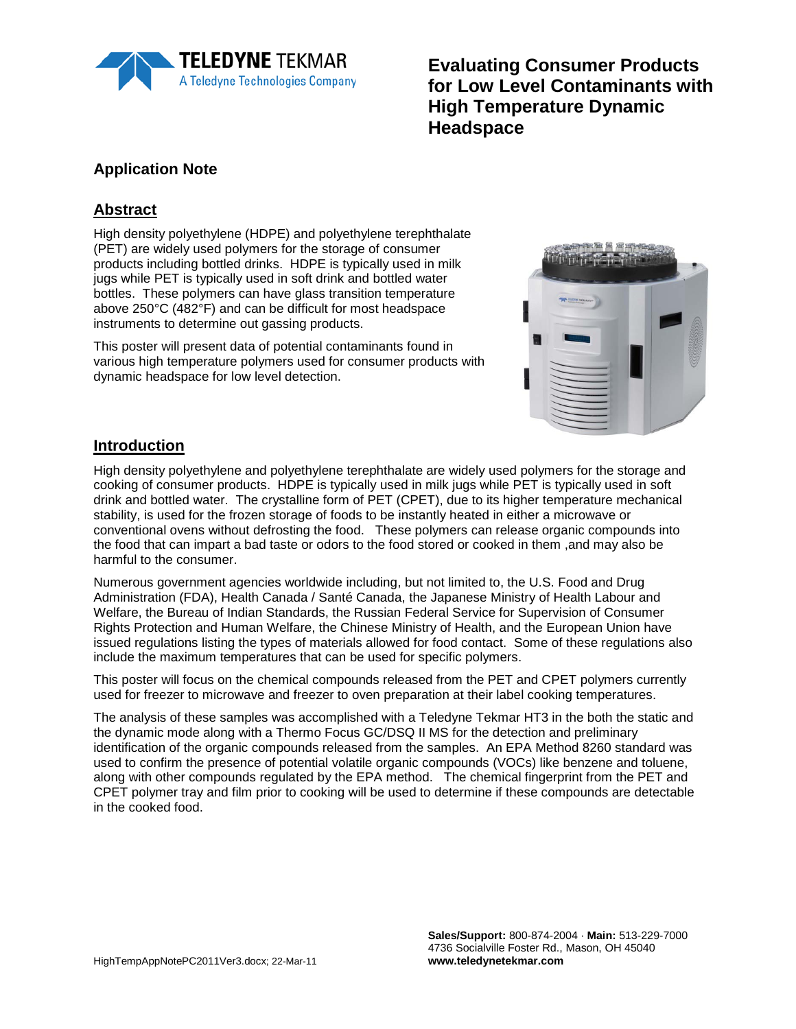

**Evaluating Consumer Products for Low Level Contaminants with High Temperature Dynamic Headspace**

# **Application Note**

# **Abstract**

High density polyethylene (HDPE) and polyethylene terephthalate (PET) are widely used polymers for the storage of consumer products including bottled drinks. HDPE is typically used in milk jugs while PET is typically used in soft drink and bottled water bottles. These polymers can have glass transition temperature above 250°C (482°F) and can be difficult for most headspace instruments to determine out gassing products.

This poster will present data of potential contaminants found in various high temperature polymers used for consumer products with dynamic headspace for low level detection.



#### **Introduction**

High density polyethylene and polyethylene terephthalate are widely used polymers for the storage and cooking of consumer products. HDPE is typically used in milk jugs while PET is typically used in soft drink and bottled water. The crystalline form of PET (CPET), due to its higher temperature mechanical stability, is used for the frozen storage of foods to be instantly heated in either a microwave or conventional ovens without defrosting the food. These polymers can release organic compounds into the food that can impart a bad taste or odors to the food stored or cooked in them ,and may also be harmful to the consumer.

Numerous government agencies worldwide including, but not limited to, the U.S. Food and Drug Administration (FDA), Health Canada / Santé Canada, the Japanese Ministry of Health Labour and Welfare, the Bureau of Indian Standards, the Russian Federal Service for Supervision of Consumer Rights Protection and Human Welfare, the Chinese Ministry of Health, and the European Union have issued regulations listing the types of materials allowed for food contact. Some of these regulations also include the maximum temperatures that can be used for specific polymers.

This poster will focus on the chemical compounds released from the PET and CPET polymers currently used for freezer to microwave and freezer to oven preparation at their label cooking temperatures.

The analysis of these samples was accomplished with a Teledyne Tekmar HT3 in the both the static and the dynamic mode along with a Thermo Focus GC/DSQ II MS for the detection and preliminary identification of the organic compounds released from the samples. An EPA Method 8260 standard was used to confirm the presence of potential volatile organic compounds (VOCs) like benzene and toluene, along with other compounds regulated by the EPA method. The chemical fingerprint from the PET and CPET polymer tray and film prior to cooking will be used to determine if these compounds are detectable in the cooked food.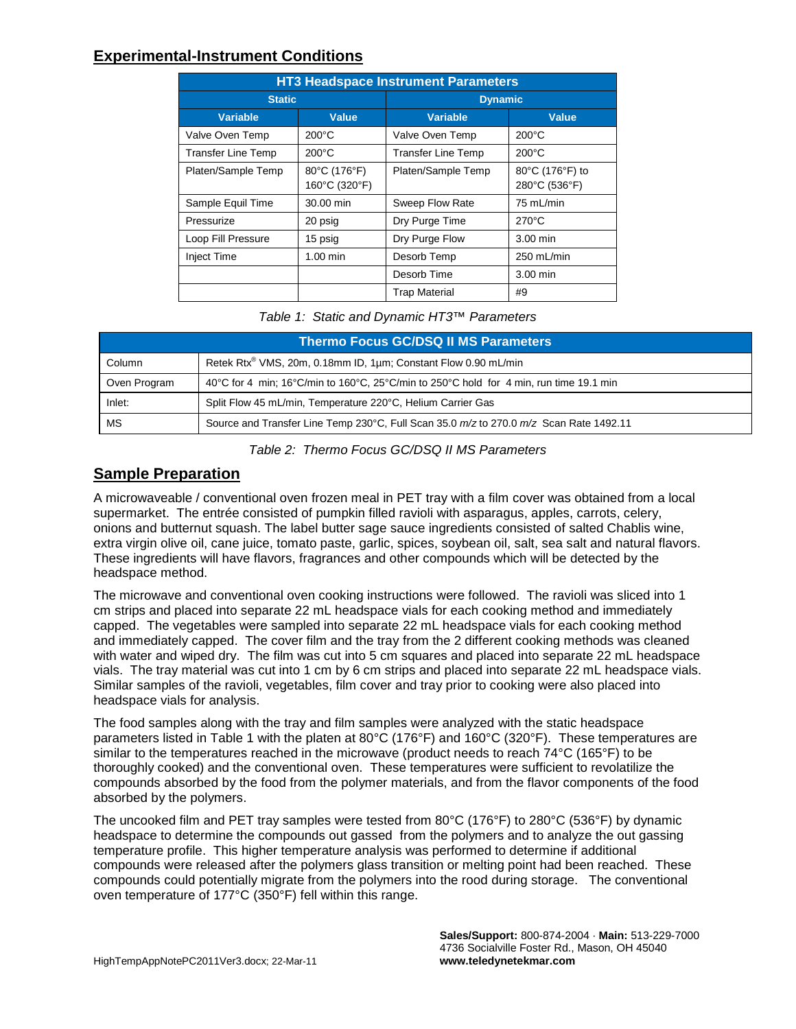#### **Experimental-Instrument Conditions**

| <b>HT3 Headspace Instrument Parameters</b> |                               |                           |                                  |  |  |
|--------------------------------------------|-------------------------------|---------------------------|----------------------------------|--|--|
| <b>Static</b>                              |                               | <b>Dynamic</b>            |                                  |  |  |
| <b>Variable</b>                            | <b>Value</b>                  | <b>Variable</b>           | <b>Value</b>                     |  |  |
| Valve Oven Temp                            | $200^{\circ}$ C               | Valve Oven Temp           | $200^{\circ}$ C                  |  |  |
| <b>Transfer Line Temp</b>                  | $200^{\circ}$ C               | <b>Transfer Line Temp</b> | $200^{\circ}$ C                  |  |  |
| Platen/Sample Temp                         | 80°C (176°F)<br>160°C (320°F) | Platen/Sample Temp        | 80°C (176°F) to<br>280°C (536°F) |  |  |
| Sample Equil Time                          | 30.00 min                     | Sweep Flow Rate           | 75 mL/min                        |  |  |
| Pressurize                                 | 20 psig                       | Dry Purge Time            | $270^{\circ}$ C                  |  |  |
| Loop Fill Pressure                         | 15 psig                       | Dry Purge Flow            | $3.00$ min                       |  |  |
| <b>Inject Time</b>                         | $1.00 \text{ min}$            | Desorb Temp               | 250 mL/min                       |  |  |
|                                            |                               | Desorb Time               | 3.00 min                         |  |  |
|                                            |                               | <b>Trap Material</b>      | #9                               |  |  |

*Table 1: Static and Dynamic HT3™ Parameters* 

| Thermo Focus GC/DSQ II MS Parameters |                                                                                        |  |  |  |
|--------------------------------------|----------------------------------------------------------------------------------------|--|--|--|
| Column                               | Retek Rtx <sup>®</sup> VMS, 20m, 0.18mm ID, 1µm; Constant Flow 0.90 mL/min             |  |  |  |
| Oven Program                         | 40°C for 4 min; 16°C/min to 160°C, 25°C/min to 250°C hold for 4 min, run time 19.1 min |  |  |  |
| Inlet:                               | Split Flow 45 mL/min, Temperature 220°C, Helium Carrier Gas                            |  |  |  |
| МS                                   | Source and Transfer Line Temp 230°C, Full Scan 35.0 m/z to 270.0 m/z Scan Rate 1492.11 |  |  |  |

*Table 2: Thermo Focus GC/DSQ II MS Parameters* 

# **Sample Preparation**

A microwaveable / conventional oven frozen meal in PET tray with a film cover was obtained from a local supermarket. The entrée consisted of pumpkin filled ravioli with asparagus, apples, carrots, celery, onions and butternut squash. The label butter sage sauce ingredients consisted of salted Chablis wine, extra virgin olive oil, cane juice, tomato paste, garlic, spices, soybean oil, salt, sea salt and natural flavors. These ingredients will have flavors, fragrances and other compounds which will be detected by the headspace method.

The microwave and conventional oven cooking instructions were followed. The ravioli was sliced into 1 cm strips and placed into separate 22 mL headspace vials for each cooking method and immediately capped. The vegetables were sampled into separate 22 mL headspace vials for each cooking method and immediately capped. The cover film and the tray from the 2 different cooking methods was cleaned with water and wiped dry. The film was cut into 5 cm squares and placed into separate 22 mL headspace vials. The tray material was cut into 1 cm by 6 cm strips and placed into separate 22 mL headspace vials. Similar samples of the ravioli, vegetables, film cover and tray prior to cooking were also placed into headspace vials for analysis.

The food samples along with the tray and film samples were analyzed with the static headspace parameters listed in Table 1 with the platen at 80°C (176°F) and 160°C (320°F). These temperatures are similar to the temperatures reached in the microwave (product needs to reach 74°C (165°F) to be thoroughly cooked) and the conventional oven. These temperatures were sufficient to revolatilize the compounds absorbed by the food from the polymer materials, and from the flavor components of the food absorbed by the polymers.

The uncooked film and PET tray samples were tested from 80°C (176°F) to 280°C (536°F) by dynamic headspace to determine the compounds out gassed from the polymers and to analyze the out gassing temperature profile. This higher temperature analysis was performed to determine if additional compounds were released after the polymers glass transition or melting point had been reached. These compounds could potentially migrate from the polymers into the rood during storage. The conventional oven temperature of 177°C (350°F) fell within this range.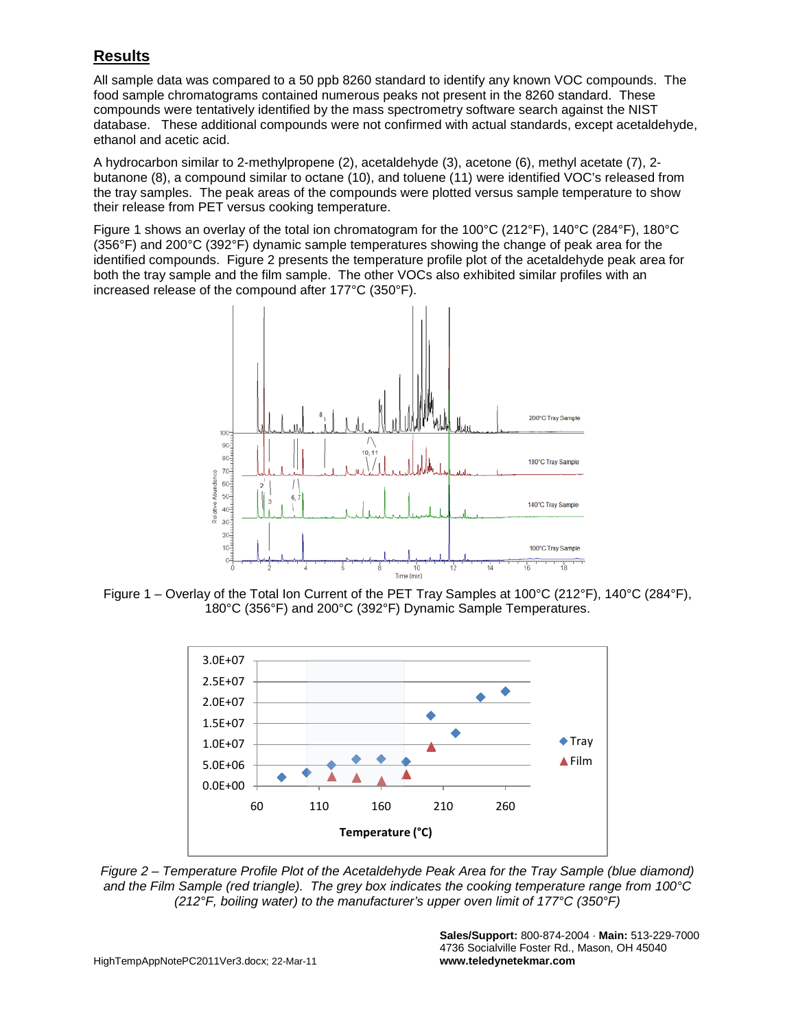# **Results**

All sample data was compared to a 50 ppb 8260 standard to identify any known VOC compounds. The food sample chromatograms contained numerous peaks not present in the 8260 standard. These compounds were tentatively identified by the mass spectrometry software search against the NIST database. These additional compounds were not confirmed with actual standards, except acetaldehyde, ethanol and acetic acid.

A hydrocarbon similar to 2-methylpropene (2), acetaldehyde (3), acetone (6), methyl acetate (7), 2 butanone (8), a compound similar to octane (10), and toluene (11) were identified VOC's released from the tray samples. The peak areas of the compounds were plotted versus sample temperature to show their release from PET versus cooking temperature.

Figure 1 shows an overlay of the total ion chromatogram for the 100°C (212°F), 140°C (284°F), 180°C (356°F) and 200°C (392°F) dynamic sample temperatures showing the change of peak area for the identified compounds. Figure 2 presents the temperature profile plot of the acetaldehyde peak area for both the tray sample and the film sample. The other VOCs also exhibited similar profiles with an increased release of the compound after 177°C (350°F).



Figure 1 – Overlay of the Total Ion Current of the PET Tray Samples at 100°C (212°F), 140°C (284°F), 180°C (356°F) and 200°C (392°F) Dynamic Sample Temperatures.



*Figure 2 – Temperature Profile Plot of the Acetaldehyde Peak Area for the Tray Sample (blue diamond) and the Film Sample (red triangle). The grey box indicates the cooking temperature range from 100°C (212°F, boiling water) to the manufacturer's upper oven limit of 177°C (350°F)*

**Sales/Support:** 800-874-2004 · **Main:** 513-229-7000 4736 Socialville Foster Rd., Mason, OH 45040 **www.teledynetekmar.com**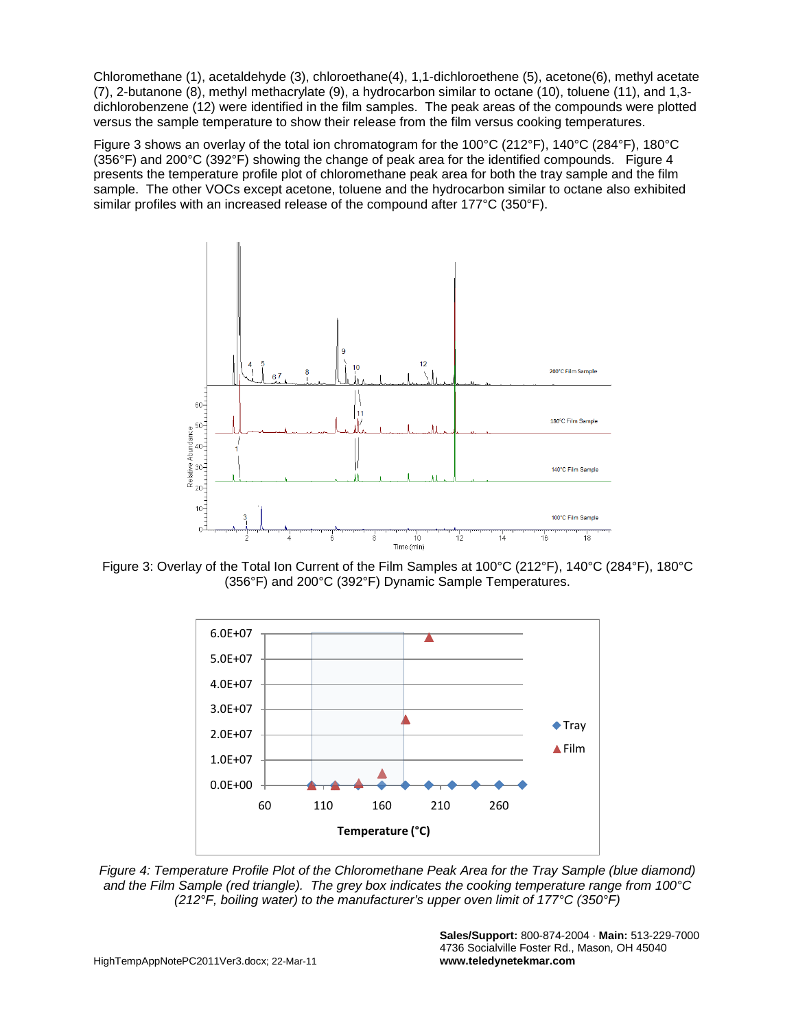Chloromethane (1), acetaldehyde (3), chloroethane(4), 1,1-dichloroethene (5), acetone(6), methyl acetate (7), 2-butanone (8), methyl methacrylate (9), a hydrocarbon similar to octane (10), toluene (11), and 1,3 dichlorobenzene (12) were identified in the film samples. The peak areas of the compounds were plotted versus the sample temperature to show their release from the film versus cooking temperatures.

Figure 3 shows an overlay of the total ion chromatogram for the 100°C (212°F), 140°C (284°F), 180°C  $(356^{\circ}F)$  and 200 $^{\circ}C$  (392 $^{\circ}F$ ) showing the change of peak area for the identified compounds. Figure 4 presents the temperature profile plot of chloromethane peak area for both the tray sample and the film sample. The other VOCs except acetone, toluene and the hydrocarbon similar to octane also exhibited similar profiles with an increased release of the compound after 177°C (350°F).



Figure 3: Overlay of the Total Ion Current of the Film Samples at 100°C (212°F), 140°C (284°F), 180°C (356°F) and 200°C (392°F) Dynamic Sample Temperatures.



*Figure 4: Temperature Profile Plot of the Chloromethane Peak Area for the Tray Sample (blue diamond) and the Film Sample (red triangle). The grey box indicates the cooking temperature range from 100°C (212°F, boiling water) to the manufacturer's upper oven limit of 177°C (350°F)*

**Sales/Support:** 800-874-2004 · **Main:** 513-229-7000 4736 Socialville Foster Rd., Mason, OH 45040 **www.teledynetekmar.com**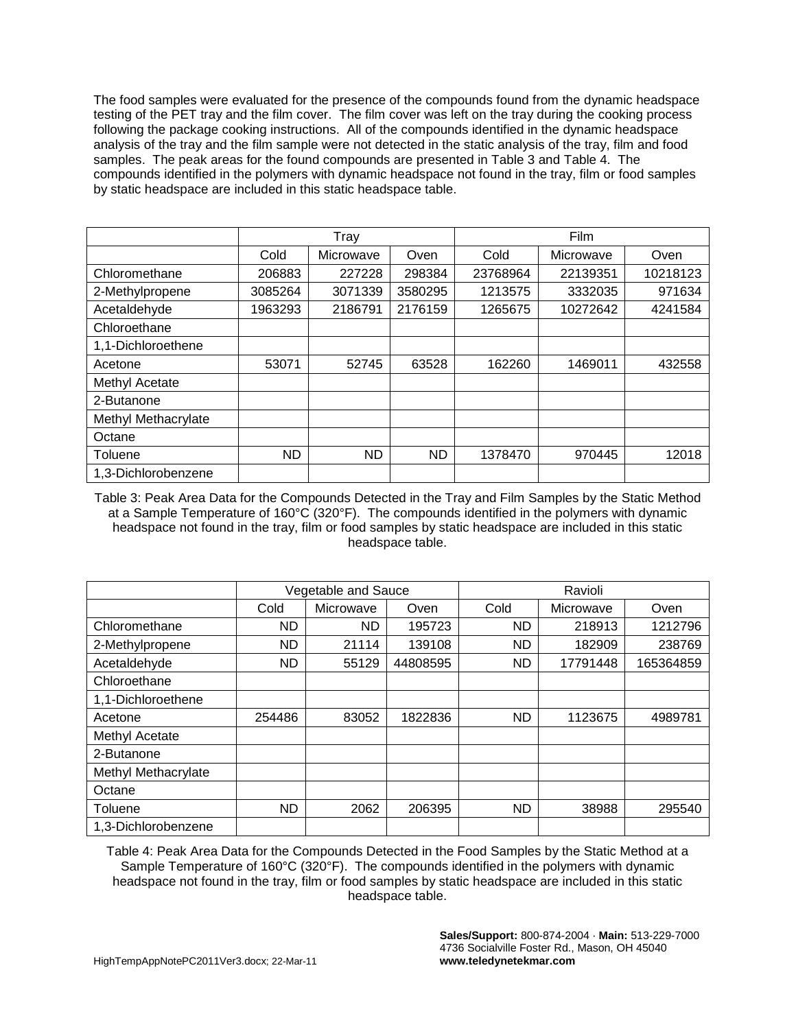The food samples were evaluated for the presence of the compounds found from the dynamic headspace testing of the PET tray and the film cover. The film cover was left on the tray during the cooking process following the package cooking instructions. All of the compounds identified in the dynamic headspace analysis of the tray and the film sample were not detected in the static analysis of the tray, film and food samples. The peak areas for the found compounds are presented in Table 3 and Table 4. The compounds identified in the polymers with dynamic headspace not found in the tray, film or food samples by static headspace are included in this static headspace table.

|                     | Tray      |           |         | Film     |           |          |
|---------------------|-----------|-----------|---------|----------|-----------|----------|
|                     | Cold      | Microwave | Oven    | Cold     | Microwave | Oven     |
| Chloromethane       | 206883    | 227228    | 298384  | 23768964 | 22139351  | 10218123 |
| 2-Methylpropene     | 3085264   | 3071339   | 3580295 | 1213575  | 3332035   | 971634   |
| Acetaldehyde        | 1963293   | 2186791   | 2176159 | 1265675  | 10272642  | 4241584  |
| Chloroethane        |           |           |         |          |           |          |
| 1,1-Dichloroethene  |           |           |         |          |           |          |
| Acetone             | 53071     | 52745     | 63528   | 162260   | 1469011   | 432558   |
| Methyl Acetate      |           |           |         |          |           |          |
| 2-Butanone          |           |           |         |          |           |          |
| Methyl Methacrylate |           |           |         |          |           |          |
| Octane              |           |           |         |          |           |          |
| Toluene             | <b>ND</b> | <b>ND</b> | ND.     | 1378470  | 970445    | 12018    |
| 1,3-Dichlorobenzene |           |           |         |          |           |          |

Table 3: Peak Area Data for the Compounds Detected in the Tray and Film Samples by the Static Method at a Sample Temperature of 160°C (320°F). The compounds identified in the polymers with dynamic headspace not found in the tray, film or food samples by static headspace are included in this static headspace table.

|                     | Vegetable and Sauce |           |          | Ravioli |           |           |
|---------------------|---------------------|-----------|----------|---------|-----------|-----------|
|                     | Cold                | Microwave | Oven     | Cold    | Microwave | Oven      |
| Chloromethane       | <b>ND</b>           | ND        | 195723   | ND.     | 218913    | 1212796   |
| 2-Methylpropene     | ND                  | 21114     | 139108   | ND      | 182909    | 238769    |
| Acetaldehyde        | ND.                 | 55129     | 44808595 | ND.     | 17791448  | 165364859 |
| Chloroethane        |                     |           |          |         |           |           |
| 1,1-Dichloroethene  |                     |           |          |         |           |           |
| Acetone             | 254486              | 83052     | 1822836  | ND      | 1123675   | 4989781   |
| Methyl Acetate      |                     |           |          |         |           |           |
| 2-Butanone          |                     |           |          |         |           |           |
| Methyl Methacrylate |                     |           |          |         |           |           |
| Octane              |                     |           |          |         |           |           |
| Toluene             | <b>ND</b>           | 2062      | 206395   | ND.     | 38988     | 295540    |
| 1,3-Dichlorobenzene |                     |           |          |         |           |           |

Table 4: Peak Area Data for the Compounds Detected in the Food Samples by the Static Method at a Sample Temperature of 160°C (320°F). The compounds identified in the polymers with dynamic headspace not found in the tray, film or food samples by static headspace are included in this static headspace table.